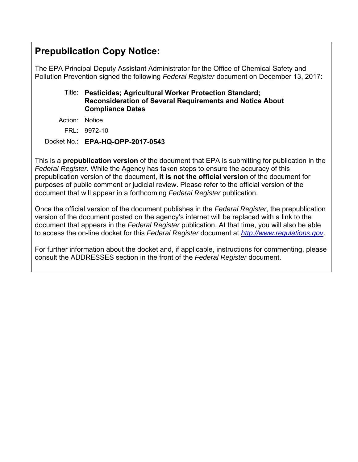## **Prepublication Copy Notice:**

The EPA Principal Deputy Assistant Administrator for the Office of Chemical Safety and Pollution Prevention signed the following *Federal Register* document on December 13, 2017:

### Title: **Pesticides; Agricultural Worker Protection Standard; Reconsideration of Several Requirements and Notice About Compliance Dates**

Action: Notice

FRL: 9972-10

Docket No.: **EPA-HQ-OPP-2017-0543** 

This is a **prepublication version** of the document that EPA is submitting for publication in the *Federal Register*. While the Agency has taken steps to ensure the accuracy of this prepublication version of the document, **it is not the official version** of the document for purposes of public comment or judicial review. Please refer to the official version of the document that will appear in a forthcoming *Federal Register* publication.

Once the official version of the document publishes in the *Federal Register*, the prepublication version of the document posted on the agency's internet will be replaced with a link to the document that appears in the *Federal Register* publication. At that time, you will also be able to access the on-line docket for this *Federal Register* document at *http://www.regulations.gov*.

For further information about the docket and, if applicable, instructions for commenting, please consult the ADDRESSES section in the front of the *Federal Register* document.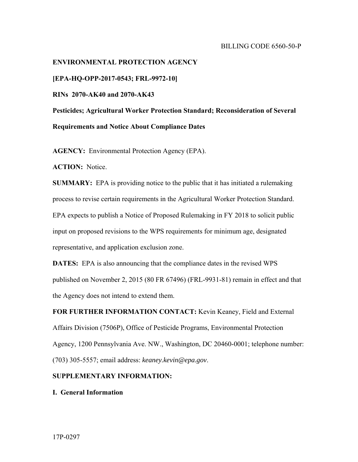#### BILLING CODE 6560-50-P

# **ENVIRONMENTAL PROTECTION AGENCY [EPA-HQ-OPP-2017-0543; FRL-9972-10] RINs 2070-AK40 and 2070-AK43 Pesticides; Agricultural Worker Protection Standard; Reconsideration of Several Requirements and Notice About Compliance Dates**

**AGENCY:** Environmental Protection Agency (EPA).

**ACTION:** Notice.

**SUMMARY:** EPA is providing notice to the public that it has initiated a rulemaking process to revise certain requirements in the Agricultural Worker Protection Standard. EPA expects to publish a Notice of Proposed Rulemaking in FY 2018 to solicit public input on proposed revisions to the WPS requirements for minimum age, designated representative, and application exclusion zone.

**DATES:** EPA is also announcing that the compliance dates in the revised WPS published on November 2, 2015 (80 FR 67496) (FRL-9931-81) remain in effect and that the Agency does not intend to extend them.

**FOR FURTHER INFORMATION CONTACT:** Kevin Keaney, Field and External Affairs Division (7506P), Office of Pesticide Programs, Environmental Protection Agency, 1200 Pennsylvania Ave. NW., Washington, DC 20460-0001; telephone number: (703) 305-5557; email address: *keaney.kevin@epa.gov*.

#### **SUPPLEMENTARY INFORMATION:**

**I. General Information**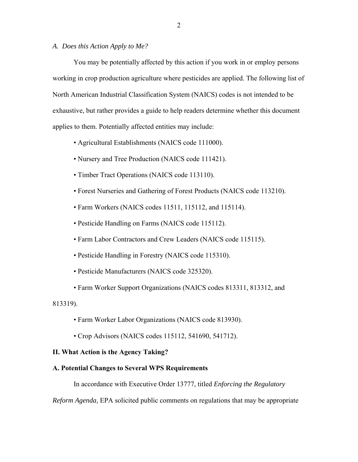#### *A. Does this Action Apply to Me?*

You may be potentially affected by this action if you work in or employ persons working in crop production agriculture where pesticides are applied. The following list of North American Industrial Classification System (NAICS) codes is not intended to be exhaustive, but rather provides a guide to help readers determine whether this document applies to them. Potentially affected entities may include:

- Agricultural Establishments (NAICS code 111000).
- Nursery and Tree Production (NAICS code 111421).
- Timber Tract Operations (NAICS code 113110).
- Forest Nurseries and Gathering of Forest Products (NAICS code 113210).
- Farm Workers (NAICS codes 11511, 115112, and 115114).
- Pesticide Handling on Farms (NAICS code 115112).
- Farm Labor Contractors and Crew Leaders (NAICS code 115115).
- Pesticide Handling in Forestry (NAICS code 115310).
- Pesticide Manufacturers (NAICS code 325320).
- Farm Worker Support Organizations (NAICS codes 813311, 813312, and

813319).

- Farm Worker Labor Organizations (NAICS code 813930).
- Crop Advisors (NAICS codes 115112, 541690, 541712).

#### **II. What Action is the Agency Taking?**

#### **A. Potential Changes to Several WPS Requirements**

In accordance with Executive Order 13777, titled *Enforcing the Regulatory* 

*Reform Agenda,* EPA solicited public comments on regulations that may be appropriate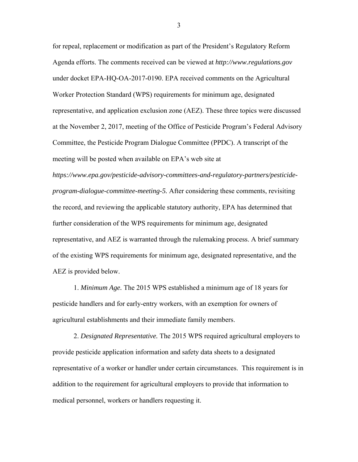for repeal, replacement or modification as part of the President's Regulatory Reform Agenda efforts. The comments received can be viewed at *http://www.regulations.gov*  under docket EPA-HQ-OA-2017-0190. EPA received comments on the Agricultural Worker Protection Standard (WPS) requirements for minimum age, designated representative, and application exclusion zone (AEZ). These three topics were discussed at the November 2, 2017, meeting of the Office of Pesticide Program's Federal Advisory Committee, the Pesticide Program Dialogue Committee (PPDC). A transcript of the meeting will be posted when available on EPA's web site at

*https://www.epa.gov/pesticide-advisory-committees-and-regulatory-partners/pesticideprogram-dialogue-committee-meeting-5.* After considering these comments, revisiting the record, and reviewing the applicable statutory authority, EPA has determined that further consideration of the WPS requirements for minimum age, designated representative, and AEZ is warranted through the rulemaking process. A brief summary of the existing WPS requirements for minimum age, designated representative, and the AEZ is provided below.

agricultural establishments and their immediate family members. 1. *Minimum Age.* The 2015 WPS established a minimum age of 18 years for pesticide handlers and for early-entry workers, with an exemption for owners of

2. *Designated Representative.* The 2015 WPS required agricultural employers to provide pesticide application information and safety data sheets to a designated representative of a worker or handler under certain circumstances. This requirement is in addition to the requirement for agricultural employers to provide that information to medical personnel, workers or handlers requesting it.

3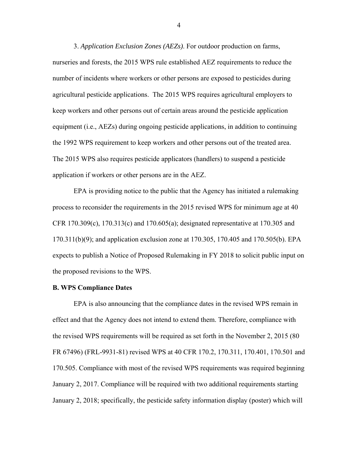3. *Application Exclusion Zones (AEZs)*. For outdoor production on farms, nurseries and forests, the 2015 WPS rule established AEZ requirements to reduce the number of incidents where workers or other persons are exposed to pesticides during agricultural pesticide applications. The 2015 WPS requires agricultural employers to keep workers and other persons out of certain areas around the pesticide application equipment (i.e., AEZs) during ongoing pesticide applications, in addition to continuing the 1992 WPS requirement to keep workers and other persons out of the treated area. The 2015 WPS also requires pesticide applicators (handlers) to suspend a pesticide application if workers or other persons are in the AEZ.

EPA is providing notice to the public that the Agency has initiated a rulemaking process to reconsider the requirements in the 2015 revised WPS for minimum age at 40 CFR 170.309 $(c)$ , 170.313 $(c)$  and 170.605 $(a)$ ; designated representative at 170.305 and 170.311(b)(9); and application exclusion zone at 170.305, 170.405 and 170.505(b). EPA expects to publish a Notice of Proposed Rulemaking in FY 2018 to solicit public input on the proposed revisions to the WPS.

#### **B. WPS Compliance Dates**

EPA is also announcing that the compliance dates in the revised WPS remain in effect and that the Agency does not intend to extend them. Therefore, compliance with the revised WPS requirements will be required as set forth in the November 2, 2015 (80 FR 67496) (FRL-9931-81) revised WPS at 40 CFR 170.2, 170.311, 170.401, 170.501 and 170.505. Compliance with most of the revised WPS requirements was required beginning January 2, 2017. Compliance will be required with two additional requirements starting January 2, 2018; specifically, the pesticide safety information display (poster) which will

4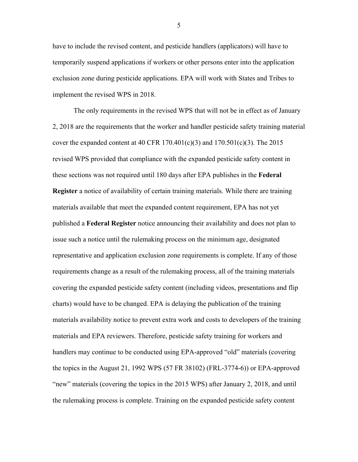have to include the revised content, and pesticide handlers (applicators) will have to temporarily suspend applications if workers or other persons enter into the application exclusion zone during pesticide applications. EPA will work with States and Tribes to implement the revised WPS in 2018.

The only requirements in the revised WPS that will not be in effect as of January 2, 2018 are the requirements that the worker and handler pesticide safety training material cover the expanded content at 40 CFR  $170.401(c)(3)$  and  $170.501(c)(3)$ . The 2015 revised WPS provided that compliance with the expanded pesticide safety content in these sections was not required until 180 days after EPA publishes in the **Federal Register** a notice of availability of certain training materials. While there are training materials available that meet the expanded content requirement, EPA has not yet published a **Federal Register** notice announcing their availability and does not plan to issue such a notice until the rulemaking process on the minimum age, designated representative and application exclusion zone requirements is complete. If any of those requirements change as a result of the rulemaking process, all of the training materials covering the expanded pesticide safety content (including videos, presentations and flip charts) would have to be changed. EPA is delaying the publication of the training materials availability notice to prevent extra work and costs to developers of the training materials and EPA reviewers. Therefore, pesticide safety training for workers and handlers may continue to be conducted using EPA-approved "old" materials (covering the topics in the August 21, 1992 WPS (57 FR 38102) (FRL-3774-6)) or EPA-approved "new" materials (covering the topics in the 2015 WPS) after January 2, 2018, and until the rulemaking process is complete. Training on the expanded pesticide safety content

5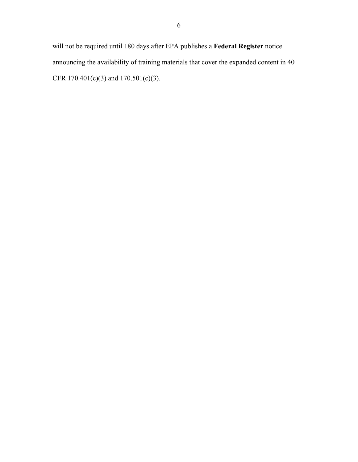will not be required until 180 days after EPA publishes a **Federal Register** notice announcing the availability of training materials that cover the expanded content in 40 CFR 170.401(c)(3) and 170.501(c)(3).